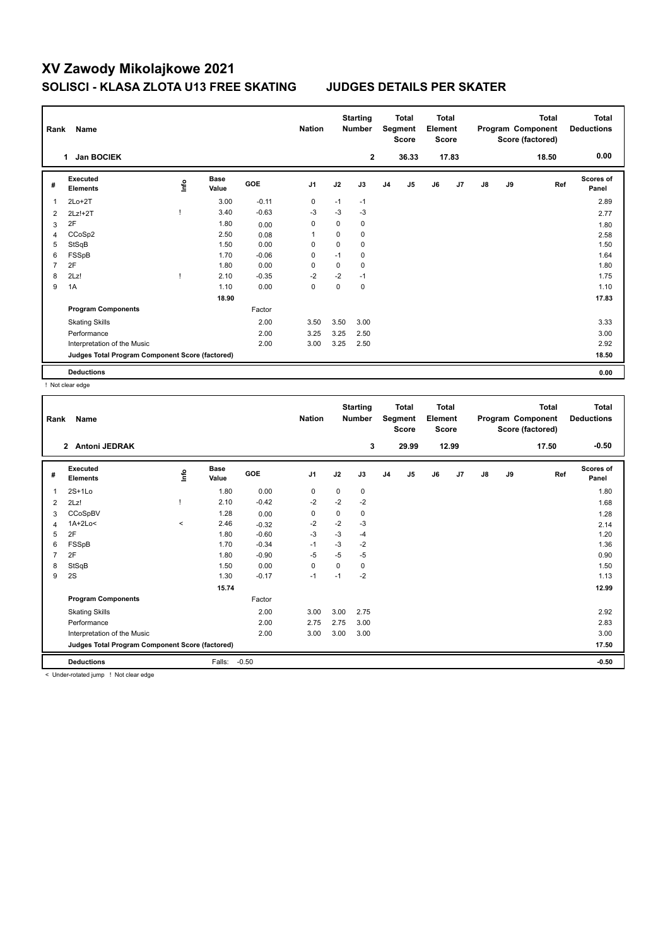## **XV Zawody Mikolajkowe 2021 SOLISCI - KLASA ZLOTA U13 FREE SKATING JUDGES DETAILS PER SKATER**

| Rank           | Name                                            |      |                      |            | <b>Nation</b>  |      | <b>Starting</b><br><b>Number</b> |                | Total<br>Segment<br>Score | <b>Total</b><br>Element<br><b>Score</b> |       |               |    | <b>Total</b><br>Program Component<br>Score (factored) | Total<br><b>Deductions</b> |
|----------------|-------------------------------------------------|------|----------------------|------------|----------------|------|----------------------------------|----------------|---------------------------|-----------------------------------------|-------|---------------|----|-------------------------------------------------------|----------------------------|
|                | <b>Jan BOCIEK</b><br>1                          |      |                      |            |                |      | $\mathbf{2}$                     |                | 36.33                     |                                         | 17.83 |               |    | 18.50                                                 | 0.00                       |
| #              | Executed<br><b>Elements</b>                     | lnfo | <b>Base</b><br>Value | <b>GOE</b> | J <sub>1</sub> | J2   | J3                               | J <sub>4</sub> | J5                        | J6                                      | J7    | $\mathsf{J}8$ | J9 | Ref                                                   | <b>Scores of</b><br>Panel  |
| 1              | $2Lo+2T$                                        |      | 3.00                 | $-0.11$    | 0              | $-1$ | $-1$                             |                |                           |                                         |       |               |    |                                                       | 2.89                       |
| $\overline{2}$ | $2Lz!+2T$                                       |      | 3.40                 | $-0.63$    | $-3$           | -3   | $-3$                             |                |                           |                                         |       |               |    |                                                       | 2.77                       |
| 3              | 2F                                              |      | 1.80                 | 0.00       | 0              | 0    | $\mathbf 0$                      |                |                           |                                         |       |               |    |                                                       | 1.80                       |
| 4              | CCoSp2                                          |      | 2.50                 | 0.08       | 1              | 0    | 0                                |                |                           |                                         |       |               |    |                                                       | 2.58                       |
| 5              | StSqB                                           |      | 1.50                 | 0.00       | 0              | 0    | 0                                |                |                           |                                         |       |               |    |                                                       | 1.50                       |
| 6              | FSSpB                                           |      | 1.70                 | $-0.06$    | 0              | $-1$ | 0                                |                |                           |                                         |       |               |    |                                                       | 1.64                       |
| 7              | 2F                                              |      | 1.80                 | 0.00       | 0              | 0    | $\mathbf 0$                      |                |                           |                                         |       |               |    |                                                       | 1.80                       |
| 8              | 2Lz!                                            |      | 2.10                 | $-0.35$    | $-2$           | $-2$ | $-1$                             |                |                           |                                         |       |               |    |                                                       | 1.75                       |
| 9              | 1A                                              |      | 1.10                 | 0.00       | 0              | 0    | $\pmb{0}$                        |                |                           |                                         |       |               |    |                                                       | 1.10                       |
|                |                                                 |      | 18.90                |            |                |      |                                  |                |                           |                                         |       |               |    |                                                       | 17.83                      |
|                | <b>Program Components</b>                       |      |                      | Factor     |                |      |                                  |                |                           |                                         |       |               |    |                                                       |                            |
|                | <b>Skating Skills</b>                           |      |                      | 2.00       | 3.50           | 3.50 | 3.00                             |                |                           |                                         |       |               |    |                                                       | 3.33                       |
|                | Performance                                     |      |                      | 2.00       | 3.25           | 3.25 | 2.50                             |                |                           |                                         |       |               |    |                                                       | 3.00                       |
|                | Interpretation of the Music                     |      |                      | 2.00       | 3.00           | 3.25 | 2.50                             |                |                           |                                         |       |               |    |                                                       | 2.92                       |
|                | Judges Total Program Component Score (factored) |      |                      |            |                |      |                                  |                |                           |                                         |       |               |    |                                                       | 18.50                      |
|                | <b>Deductions</b>                               |      |                      |            |                |      |                                  |                |                           |                                         |       |               |    |                                                       | 0.00                       |

! Not clear edge

| Rank           | Name                                            |       |                      |            | <b>Nation</b>  |      | <b>Starting</b><br><b>Number</b> |                | <b>Total</b><br>Segment<br><b>Score</b> | <b>Total</b><br>Element<br><b>Score</b> |       |               |    | <b>Total</b><br>Program Component<br>Score (factored) | <b>Total</b><br><b>Deductions</b> |
|----------------|-------------------------------------------------|-------|----------------------|------------|----------------|------|----------------------------------|----------------|-----------------------------------------|-----------------------------------------|-------|---------------|----|-------------------------------------------------------|-----------------------------------|
|                | 2 Antoni JEDRAK                                 |       |                      |            |                |      | 3                                |                | 29.99                                   |                                         | 12.99 |               |    | 17.50                                                 | $-0.50$                           |
| #              | Executed<br><b>Elements</b>                     | lnfo  | <b>Base</b><br>Value | <b>GOE</b> | J <sub>1</sub> | J2   | J3                               | J <sub>4</sub> | J <sub>5</sub>                          | J6                                      | J7    | $\mathsf{J}8$ | J9 | Ref                                                   | <b>Scores of</b><br>Panel         |
| 1              | $2S+1Lo$                                        |       | 1.80                 | 0.00       | 0              | 0    | 0                                |                |                                         |                                         |       |               |    |                                                       | 1.80                              |
| 2              | 2Lz!                                            |       | 2.10                 | $-0.42$    | $-2$           | $-2$ | $-2$                             |                |                                         |                                         |       |               |    |                                                       | 1.68                              |
| 3              | <b>CCoSpBV</b>                                  |       | 1.28                 | 0.00       | 0              | 0    | 0                                |                |                                         |                                         |       |               |    |                                                       | 1.28                              |
| 4              | $1A+2Lo<$                                       | $\,<$ | 2.46                 | $-0.32$    | $-2$           | $-2$ | -3                               |                |                                         |                                         |       |               |    |                                                       | 2.14                              |
| 5              | 2F                                              |       | 1.80                 | $-0.60$    | $-3$           | $-3$ | -4                               |                |                                         |                                         |       |               |    |                                                       | 1.20                              |
| 6              | FSSpB                                           |       | 1.70                 | $-0.34$    | $-1$           | $-3$ | $-2$                             |                |                                         |                                         |       |               |    |                                                       | 1.36                              |
| $\overline{7}$ | 2F                                              |       | 1.80                 | $-0.90$    | $-5$           | $-5$ | $-5$                             |                |                                         |                                         |       |               |    |                                                       | 0.90                              |
| 8              | StSqB                                           |       | 1.50                 | 0.00       | 0              | 0    | 0                                |                |                                         |                                         |       |               |    |                                                       | 1.50                              |
| 9              | 2S                                              |       | 1.30                 | $-0.17$    | $-1$           | $-1$ | $-2$                             |                |                                         |                                         |       |               |    |                                                       | 1.13                              |
|                |                                                 |       | 15.74                |            |                |      |                                  |                |                                         |                                         |       |               |    |                                                       | 12.99                             |
|                | <b>Program Components</b>                       |       |                      | Factor     |                |      |                                  |                |                                         |                                         |       |               |    |                                                       |                                   |
|                | <b>Skating Skills</b>                           |       |                      | 2.00       | 3.00           | 3.00 | 2.75                             |                |                                         |                                         |       |               |    |                                                       | 2.92                              |
|                | Performance                                     |       |                      | 2.00       | 2.75           | 2.75 | 3.00                             |                |                                         |                                         |       |               |    |                                                       | 2.83                              |
|                | Interpretation of the Music                     |       |                      | 2.00       | 3.00           | 3.00 | 3.00                             |                |                                         |                                         |       |               |    |                                                       | 3.00                              |
|                | Judges Total Program Component Score (factored) |       |                      |            |                |      |                                  |                |                                         |                                         |       |               |    |                                                       | 17.50                             |
|                | <b>Deductions</b>                               |       | Falls:               | $-0.50$    |                |      |                                  |                |                                         |                                         |       |               |    |                                                       | $-0.50$                           |

< Under-rotated jump ! Not clear edge